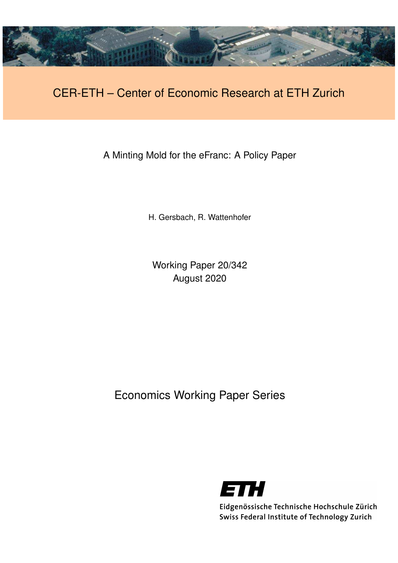

# CER-ETH – Center of Economic Research at ETH Zurich

A Minting Mold for the eFranc: A Policy Paper

H. Gersbach, R. Wattenhofer

Working Paper 20/342 August 2020

Economics Working Paper Series



Eidgenössische Technische Hochschule Zürich Swiss Federal Institute of Technology Zurich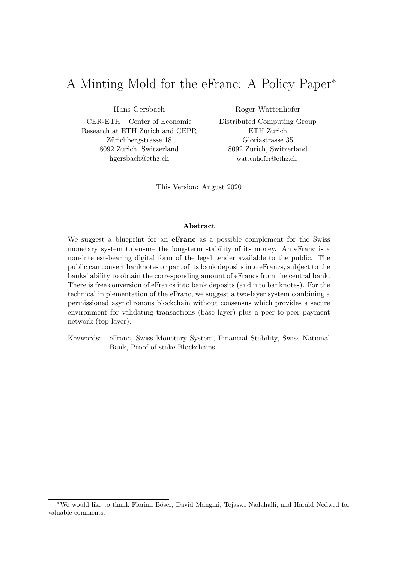# A Minting Mold for the eFranc: A Policy Paper<sup>∗</sup>

Hans Gersbach

CER-ETH – Center of Economic Research at ETH Zurich and CEPR Zürichbergstrasse 18 8092 Zurich, Switzerland hgersbach@ethz.ch

Roger Wattenhofer

Distributed Computing Group ETH Zurich Gloriastrasse 35 8092 Zurich, Switzerland wattenhofer@ethz.ch

This Version: August 2020

#### Abstract

We suggest a blueprint for an **eFranc** as a possible complement for the Swiss monetary system to ensure the long-term stability of its money. An eFranc is a non-interest-bearing digital form of the legal tender available to the public. The public can convert banknotes or part of its bank deposits into eFrancs, subject to the banks' ability to obtain the corresponding amount of eFrancs from the central bank. There is free conversion of eFrancs into bank deposits (and into banknotes). For the technical implementation of the eFranc, we suggest a two-layer system combining a permissioned asynchronous blockchain without consensus which provides a secure environment for validating transactions (base layer) plus a peer-to-peer payment network (top layer).

Keywords: eFranc, Swiss Monetary System, Financial Stability, Swiss National Bank, Proof-of-stake Blockchains

<sup>∗</sup>We would like to thank Florian B¨oser, David Mangini, Tejaswi Nadahalli, and Harald Nedwed for valuable comments.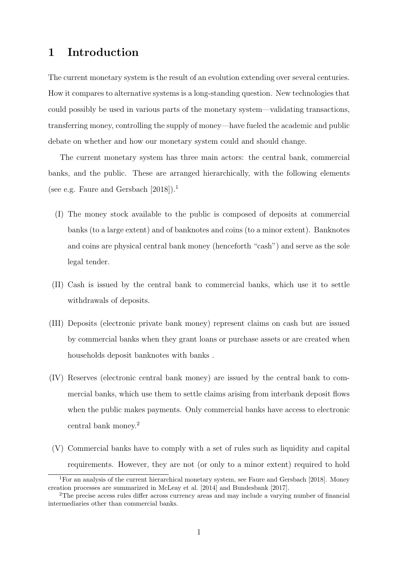### 1 Introduction

The current monetary system is the result of an evolution extending over several centuries. How it compares to alternative systems is a long-standing question. New technologies that could possibly be used in various parts of the monetary system—validating transactions, transferring money, controlling the supply of money—have fueled the academic and public debate on whether and how our monetary system could and should change.

The current monetary system has three main actors: the central bank, commercial banks, and the public. These are arranged hierarchically, with the following elements (see e.g. Faure and Gersbach  $[2018]$ ).<sup>1</sup>

- (I) The money stock available to the public is composed of deposits at commercial banks (to a large extent) and of banknotes and coins (to a minor extent). Banknotes and coins are physical central bank money (henceforth "cash") and serve as the sole legal tender.
- (II) Cash is issued by the central bank to commercial banks, which use it to settle withdrawals of deposits.
- (III) Deposits (electronic private bank money) represent claims on cash but are issued by commercial banks when they grant loans or purchase assets or are created when households deposit banknotes with banks .
- (IV) Reserves (electronic central bank money) are issued by the central bank to commercial banks, which use them to settle claims arising from interbank deposit flows when the public makes payments. Only commercial banks have access to electronic central bank money.<sup>2</sup>
- (V) Commercial banks have to comply with a set of rules such as liquidity and capital requirements. However, they are not (or only to a minor extent) required to hold

<sup>1</sup>For an analysis of the current hierarchical monetary system, see Faure and Gersbach [2018]. Money creation processes are summarized in McLeay et al. [2014] and Bundesbank [2017].

<sup>2</sup>The precise access rules differ across currency areas and may include a varying number of financial intermediaries other than commercial banks.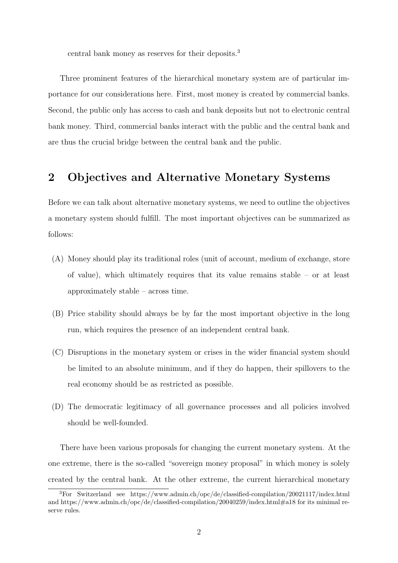central bank money as reserves for their deposits.<sup>3</sup>

Three prominent features of the hierarchical monetary system are of particular importance for our considerations here. First, most money is created by commercial banks. Second, the public only has access to cash and bank deposits but not to electronic central bank money. Third, commercial banks interact with the public and the central bank and are thus the crucial bridge between the central bank and the public.

### 2 Objectives and Alternative Monetary Systems

Before we can talk about alternative monetary systems, we need to outline the objectives a monetary system should fulfill. The most important objectives can be summarized as follows:

- (A) Money should play its traditional roles (unit of account, medium of exchange, store of value), which ultimately requires that its value remains stable – or at least approximately stable – across time.
- (B) Price stability should always be by far the most important objective in the long run, which requires the presence of an independent central bank.
- (C) Disruptions in the monetary system or crises in the wider financial system should be limited to an absolute minimum, and if they do happen, their spillovers to the real economy should be as restricted as possible.
- (D) The democratic legitimacy of all governance processes and all policies involved should be well-founded.

There have been various proposals for changing the current monetary system. At the one extreme, there is the so-called "sovereign money proposal" in which money is solely created by the central bank. At the other extreme, the current hierarchical monetary

<sup>3</sup>For Switzerland see https://www.admin.ch/opc/de/classified-compilation/20021117/index.html and https://www.admin.ch/opc/de/classified-compilation/20040259/index.html#a18 for its minimal reserve rules.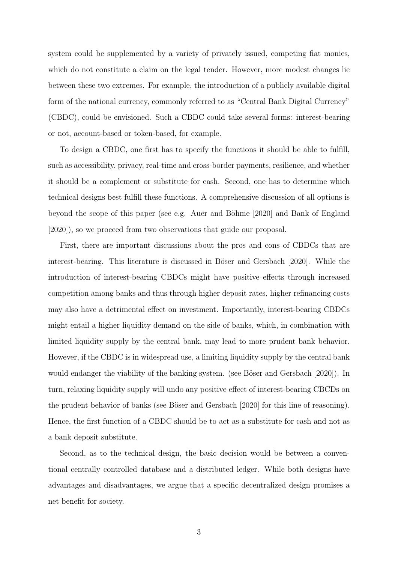system could be supplemented by a variety of privately issued, competing fiat monies, which do not constitute a claim on the legal tender. However, more modest changes lie between these two extremes. For example, the introduction of a publicly available digital form of the national currency, commonly referred to as "Central Bank Digital Currency" (CBDC), could be envisioned. Such a CBDC could take several forms: interest-bearing or not, account-based or token-based, for example.

To design a CBDC, one first has to specify the functions it should be able to fulfill, such as accessibility, privacy, real-time and cross-border payments, resilience, and whether it should be a complement or substitute for cash. Second, one has to determine which technical designs best fulfill these functions. A comprehensive discussion of all options is beyond the scope of this paper (see e.g. Auer and Böhme  $[2020]$  and Bank of England [2020]), so we proceed from two observations that guide our proposal.

First, there are important discussions about the pros and cons of CBDCs that are interest-bearing. This literature is discussed in Böser and Gersbach [2020]. While the introduction of interest-bearing CBDCs might have positive effects through increased competition among banks and thus through higher deposit rates, higher refinancing costs may also have a detrimental effect on investment. Importantly, interest-bearing CBDCs might entail a higher liquidity demand on the side of banks, which, in combination with limited liquidity supply by the central bank, may lead to more prudent bank behavior. However, if the CBDC is in widespread use, a limiting liquidity supply by the central bank would endanger the viability of the banking system. (see Böser and Gersbach [2020]). In turn, relaxing liquidity supply will undo any positive effect of interest-bearing CBCDs on the prudent behavior of banks (see Böser and Gersbach [2020] for this line of reasoning). Hence, the first function of a CBDC should be to act as a substitute for cash and not as a bank deposit substitute.

Second, as to the technical design, the basic decision would be between a conventional centrally controlled database and a distributed ledger. While both designs have advantages and disadvantages, we argue that a specific decentralized design promises a net benefit for society.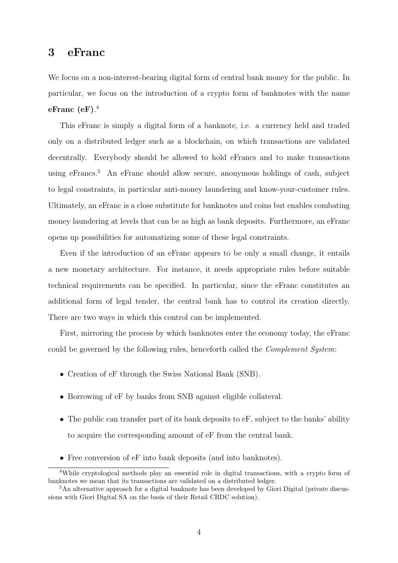### 3 eFranc

We focus on a non-interest-bearing digital form of central bank money for the public. In particular, we focus on the introduction of a crypto form of banknotes with the name  $\rm eFranc\,\, (eF).^4$ 

This eFranc is simply a digital form of a banknote, i.e. a currency held and traded only on a distributed ledger such as a blockchain, on which transactions are validated decentrally. Everybody should be allowed to hold eFrancs and to make transactions using eFrancs.<sup>5</sup> An eFranc should allow secure, anonymous holdings of cash, subject to legal constraints, in particular anti-money laundering and know-your-customer rules. Ultimately, an eFranc is a close substitute for banknotes and coins but enables combating money laundering at levels that can be as high as bank deposits. Furthermore, an eFranc opens up possibilities for automatizing some of these legal constraints.

Even if the introduction of an eFranc appears to be only a small change, it entails a new monetary architecture. For instance, it needs appropriate rules before suitable technical requirements can be specified. In particular, since the eFranc constitutes an additional form of legal tender, the central bank has to control its creation directly. There are two ways in which this control can be implemented.

First, mirroring the process by which banknotes enter the economy today, the eFranc could be governed by the following rules, henceforth called the Complement System:

- Creation of eF through the Swiss National Bank (SNB).
- Borrowing of  $eF$  by banks from SNB against eligible collateral.
- The public can transfer part of its bank deposits to eF, subject to the banks' ability to acquire the corresponding amount of eF from the central bank.
- Free conversion of  $eF$  into bank deposits (and into banknotes).

<sup>&</sup>lt;sup>4</sup>While cryptological methods play an essential role in digital transactions, with a crypto form of banknotes we mean that its transactions are validated on a distributed ledger.

<sup>&</sup>lt;sup>5</sup>An alternative approach for a digital banknote has been developed by Giori Digital (private discussions with Giori Digital SA on the basis of their Retail CBDC solution).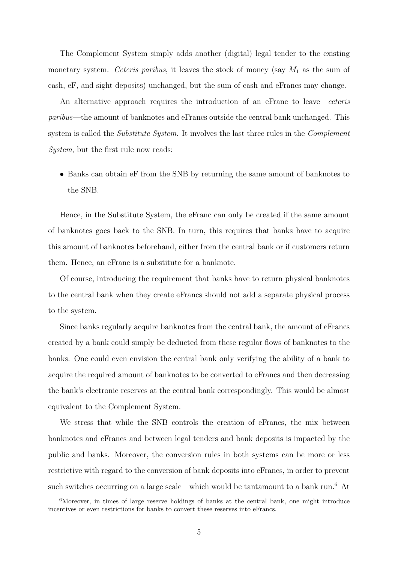The Complement System simply adds another (digital) legal tender to the existing monetary system. Ceteris paribus, it leaves the stock of money (say  $M_1$  as the sum of cash, eF, and sight deposits) unchanged, but the sum of cash and eFrancs may change.

An alternative approach requires the introduction of an eFranc to leave—ceteris paribus—the amount of banknotes and eFrancs outside the central bank unchanged. This system is called the *Substitute System*. It involves the last three rules in the *Complement* System, but the first rule now reads:

• Banks can obtain eF from the SNB by returning the same amount of banknotes to the SNB.

Hence, in the Substitute System, the eFranc can only be created if the same amount of banknotes goes back to the SNB. In turn, this requires that banks have to acquire this amount of banknotes beforehand, either from the central bank or if customers return them. Hence, an eFranc is a substitute for a banknote.

Of course, introducing the requirement that banks have to return physical banknotes to the central bank when they create eFrancs should not add a separate physical process to the system.

Since banks regularly acquire banknotes from the central bank, the amount of eFrancs created by a bank could simply be deducted from these regular flows of banknotes to the banks. One could even envision the central bank only verifying the ability of a bank to acquire the required amount of banknotes to be converted to eFrancs and then decreasing the bank's electronic reserves at the central bank correspondingly. This would be almost equivalent to the Complement System.

We stress that while the SNB controls the creation of eFrancs, the mix between banknotes and eFrancs and between legal tenders and bank deposits is impacted by the public and banks. Moreover, the conversion rules in both systems can be more or less restrictive with regard to the conversion of bank deposits into eFrancs, in order to prevent such switches occurring on a large scale—which would be tantamount to a bank run.<sup>6</sup> At

<sup>6</sup>Moreover, in times of large reserve holdings of banks at the central bank, one might introduce incentives or even restrictions for banks to convert these reserves into eFrancs.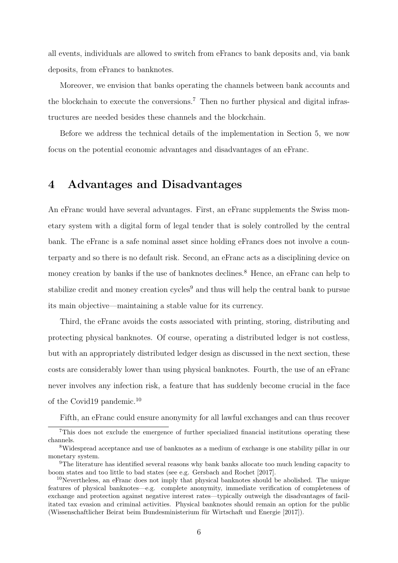all events, individuals are allowed to switch from eFrancs to bank deposits and, via bank deposits, from eFrancs to banknotes.

Moreover, we envision that banks operating the channels between bank accounts and the blockchain to execute the conversions.<sup>7</sup> Then no further physical and digital infrastructures are needed besides these channels and the blockchain.

Before we address the technical details of the implementation in Section 5, we now focus on the potential economic advantages and disadvantages of an eFranc.

### 4 Advantages and Disadvantages

An eFranc would have several advantages. First, an eFranc supplements the Swiss monetary system with a digital form of legal tender that is solely controlled by the central bank. The eFranc is a safe nominal asset since holding eFrancs does not involve a counterparty and so there is no default risk. Second, an eFranc acts as a disciplining device on money creation by banks if the use of banknotes declines.<sup>8</sup> Hence, an eFranc can help to stabilize credit and money creation cycles<sup>9</sup> and thus will help the central bank to pursue its main objective—maintaining a stable value for its currency.

Third, the eFranc avoids the costs associated with printing, storing, distributing and protecting physical banknotes. Of course, operating a distributed ledger is not costless, but with an appropriately distributed ledger design as discussed in the next section, these costs are considerably lower than using physical banknotes. Fourth, the use of an eFranc never involves any infection risk, a feature that has suddenly become crucial in the face of the Covid19 pandemic.<sup>10</sup>

Fifth, an eFranc could ensure anonymity for all lawful exchanges and can thus recover

<sup>7</sup>This does not exclude the emergence of further specialized financial institutions operating these channels.

<sup>8</sup>Widespread acceptance and use of banknotes as a medium of exchange is one stability pillar in our monetary system.

<sup>&</sup>lt;sup>9</sup>The literature has identified several reasons why bank banks allocate too much lending capacity to boom states and too little to bad states (see e.g. Gersbach and Rochet [2017].

 $10$ Nevertheless, an eFranc does not imply that physical banknotes should be abolished. The unique features of physical banknotes—e.g. complete anonymity, immediate verification of completeness of exchange and protection against negative interest rates—typically outweigh the disadvantages of facilitated tax evasion and criminal activities. Physical banknotes should remain an option for the public (Wissenschaftlicher Beirat beim Bundesministerium für Wirtschaft und Energie [2017]).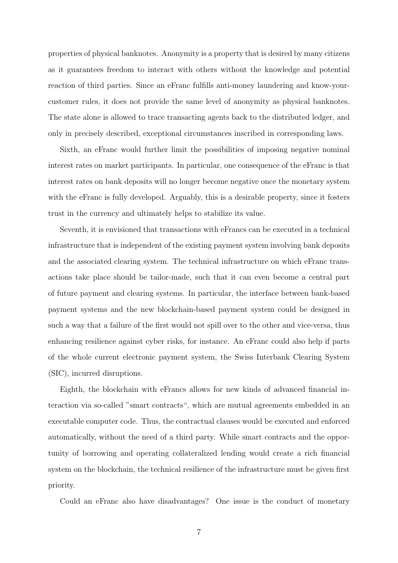properties of physical banknotes. Anonymity is a property that is desired by many citizens as it guarantees freedom to interact with others without the knowledge and potential reaction of third parties. Since an eFranc fulfills anti-money laundering and know-yourcustomer rules, it does not provide the same level of anonymity as physical banknotes. The state alone is allowed to trace transacting agents back to the distributed ledger, and only in precisely described, exceptional circumstances inscribed in corresponding laws.

Sixth, an eFranc would further limit the possibilities of imposing negative nominal interest rates on market participants. In particular, one consequence of the eFranc is that interest rates on bank deposits will no longer become negative once the monetary system with the eFranc is fully developed. Arguably, this is a desirable property, since it fosters trust in the currency and ultimately helps to stabilize its value.

Seventh, it is envisioned that transactions with eFrancs can be executed in a technical infrastructure that is independent of the existing payment system involving bank deposits and the associated clearing system. The technical infrastructure on which eFranc transactions take place should be tailor-made, such that it can even become a central part of future payment and clearing systems. In particular, the interface between bank-based payment systems and the new blockchain-based payment system could be designed in such a way that a failure of the first would not spill over to the other and vice-versa, thus enhancing resilience against cyber risks, for instance. An eFranc could also help if parts of the whole current electronic payment system, the Swiss Interbank Clearing System (SIC), incurred disruptions.

Eighth, the blockchain with eFrancs allows for new kinds of advanced financial interaction via so-called "smart contracts", which are mutual agreements embedded in an executable computer code. Thus, the contractual clauses would be executed and enforced automatically, without the need of a third party. While smart contracts and the opportunity of borrowing and operating collateralized lending would create a rich financial system on the blockchain, the technical resilience of the infrastructure must be given first priority.

Could an eFranc also have disadvantages? One issue is the conduct of monetary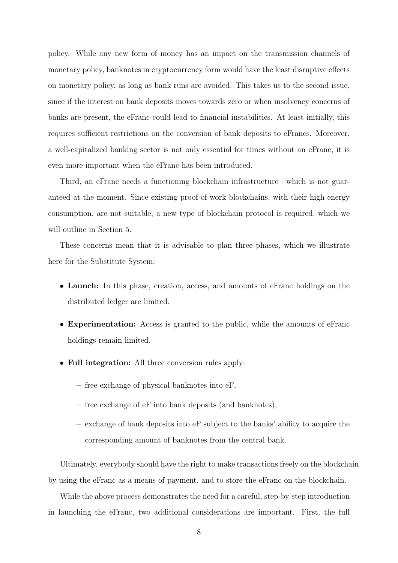policy. While any new form of money has an impact on the transmission channels of monetary policy, banknotes in cryptocurrency form would have the least disruptive effects on monetary policy, as long as bank runs are avoided. This takes us to the second issue, since if the interest on bank deposits moves towards zero or when insolvency concerns of banks are present, the eFranc could lead to financial instabilities. At least initially, this requires sufficient restrictions on the conversion of bank deposits to eFrancs. Moreover, a well-capitalized banking sector is not only essential for times without an eFranc, it is even more important when the eFranc has been introduced.

Third, an eFranc needs a functioning blockchain infrastructure—which is not guaranteed at the moment. Since existing proof-of-work blockchains, with their high energy consumption, are not suitable, a new type of blockchain protocol is required, which we will outline in Section 5.

These concerns mean that it is advisable to plan three phases, which we illustrate here for the Substitute System:

- Launch: In this phase, creation, access, and amounts of eFranc holdings on the distributed ledger are limited.
- Experimentation: Access is granted to the public, while the amounts of eFranc holdings remain limited.
- Full integration: All three conversion rules apply:
	- free exchange of physical banknotes into eF,
	- free exchange of eF into bank deposits (and banknotes),
	- exchange of bank deposits into eF subject to the banks' ability to acquire the corresponding amount of banknotes from the central bank.

Ultimately, everybody should have the right to make transactions freely on the blockchain by using the eFranc as a means of payment, and to store the eFranc on the blockchain.

While the above process demonstrates the need for a careful, step-by-step introduction in launching the eFranc, two additional considerations are important. First, the full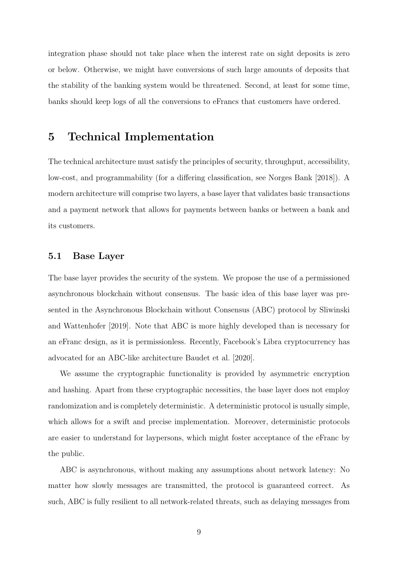integration phase should not take place when the interest rate on sight deposits is zero or below. Otherwise, we might have conversions of such large amounts of deposits that the stability of the banking system would be threatened. Second, at least for some time, banks should keep logs of all the conversions to eFrancs that customers have ordered.

### 5 Technical Implementation

The technical architecture must satisfy the principles of security, throughput, accessibility, low-cost, and programmability (for a differing classification, see Norges Bank [2018]). A modern architecture will comprise two layers, a base layer that validates basic transactions and a payment network that allows for payments between banks or between a bank and its customers.

### 5.1 Base Layer

The base layer provides the security of the system. We propose the use of a permissioned asynchronous blockchain without consensus. The basic idea of this base layer was presented in the Asynchronous Blockchain without Consensus (ABC) protocol by Sliwinski and Wattenhofer [2019]. Note that ABC is more highly developed than is necessary for an eFranc design, as it is permissionless. Recently, Facebook's Libra cryptocurrency has advocated for an ABC-like architecture Baudet et al. [2020].

We assume the cryptographic functionality is provided by asymmetric encryption and hashing. Apart from these cryptographic necessities, the base layer does not employ randomization and is completely deterministic. A deterministic protocol is usually simple, which allows for a swift and precise implementation. Moreover, deterministic protocols are easier to understand for laypersons, which might foster acceptance of the eFranc by the public.

ABC is asynchronous, without making any assumptions about network latency: No matter how slowly messages are transmitted, the protocol is guaranteed correct. As such, ABC is fully resilient to all network-related threats, such as delaying messages from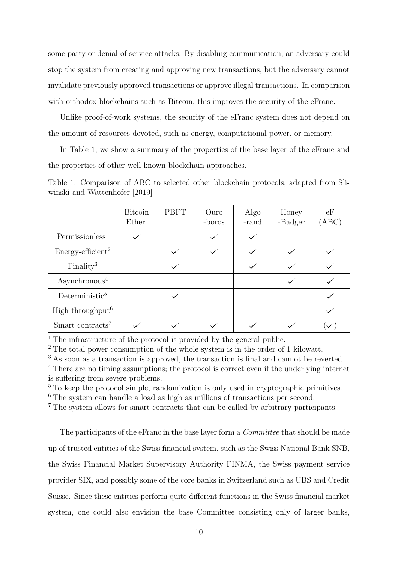some party or denial-of-service attacks. By disabling communication, an adversary could stop the system from creating and approving new transactions, but the adversary cannot invalidate previously approved transactions or approve illegal transactions. In comparison with orthodox blockchains such as Bitcoin, this improves the security of the eFranc.

Unlike proof-of-work systems, the security of the eFranc system does not depend on the amount of resources devoted, such as energy, computational power, or memory.

In Table 1, we show a summary of the properties of the base layer of the eFranc and the properties of other well-known blockchain approaches.

| Table 1: Comparison of ABC to selected other blockchain protocols, adapted from Sli- |  |  |  |  |
|--------------------------------------------------------------------------------------|--|--|--|--|
| winski and Wattenhofer [2019]                                                        |  |  |  |  |

|                                 | <b>Bitcoin</b><br>Ether. | <b>PBFT</b> | Ouro<br>-boros | Algo<br>-rand | Honey<br>-Badger | eF<br>(ABC) |
|---------------------------------|--------------------------|-------------|----------------|---------------|------------------|-------------|
| Permissionless <sup>1</sup>     |                          |             |                |               |                  |             |
| $Energy\text{-efficient}^2$     |                          |             |                |               |                  |             |
| Finally <sup>3</sup>            |                          |             |                |               |                  |             |
| $\operatorname{Asynchronous}^4$ |                          |             |                |               |                  |             |
| Deterministic <sup>5</sup>      |                          |             |                |               |                  |             |
| High throughput <sup>6</sup>    |                          |             |                |               |                  |             |
| Smart contracts <sup>7</sup>    |                          |             |                |               |                  |             |

<sup>1</sup> The infrastructure of the protocol is provided by the general public.

<sup>2</sup> The total power consumption of the whole system is in the order of 1 kilowatt.

<sup>3</sup> As soon as a transaction is approved, the transaction is final and cannot be reverted.

<sup>4</sup> There are no timing assumptions; the protocol is correct even if the underlying internet is suffering from severe problems.

 $5$  To keep the protocol simple, randomization is only used in cryptographic primitives.

<sup>6</sup> The system can handle a load as high as millions of transactions per second.

<sup>7</sup> The system allows for smart contracts that can be called by arbitrary participants.

The participants of the eFranc in the base layer form a *Committee* that should be made up of trusted entities of the Swiss financial system, such as the Swiss National Bank SNB, the Swiss Financial Market Supervisory Authority FINMA, the Swiss payment service provider SIX, and possibly some of the core banks in Switzerland such as UBS and Credit Suisse. Since these entities perform quite different functions in the Swiss financial market system, one could also envision the base Committee consisting only of larger banks,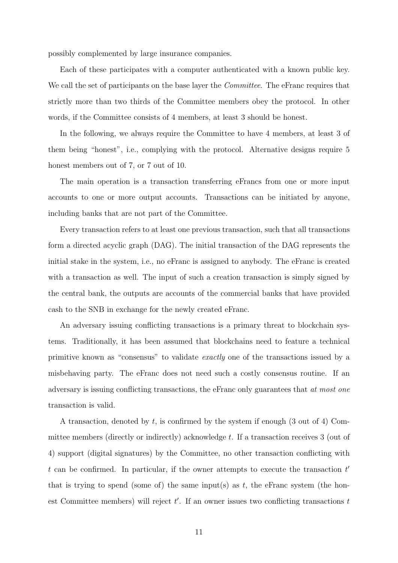possibly complemented by large insurance companies.

Each of these participates with a computer authenticated with a known public key. We call the set of participants on the base layer the *Committee*. The eFranc requires that strictly more than two thirds of the Committee members obey the protocol. In other words, if the Committee consists of 4 members, at least 3 should be honest.

In the following, we always require the Committee to have 4 members, at least 3 of them being "honest", i.e., complying with the protocol. Alternative designs require 5 honest members out of 7, or 7 out of 10.

The main operation is a transaction transferring eFrancs from one or more input accounts to one or more output accounts. Transactions can be initiated by anyone, including banks that are not part of the Committee.

Every transaction refers to at least one previous transaction, such that all transactions form a directed acyclic graph (DAG). The initial transaction of the DAG represents the initial stake in the system, i.e., no eFranc is assigned to anybody. The eFranc is created with a transaction as well. The input of such a creation transaction is simply signed by the central bank, the outputs are accounts of the commercial banks that have provided cash to the SNB in exchange for the newly created eFranc.

An adversary issuing conflicting transactions is a primary threat to blockchain systems. Traditionally, it has been assumed that blockchains need to feature a technical primitive known as "consensus" to validate exactly one of the transactions issued by a misbehaving party. The eFranc does not need such a costly consensus routine. If an adversary is issuing conflicting transactions, the eFranc only guarantees that at most one transaction is valid.

A transaction, denoted by  $t$ , is confirmed by the system if enough  $(3 \text{ out of } 4)$  Committee members (directly or indirectly) acknowledge t. If a transaction receives 3 (out of 4) support (digital signatures) by the Committee, no other transaction conflicting with t can be confirmed. In particular, if the owner attempts to execute the transaction  $t'$ that is trying to spend (some of) the same input(s) as  $t$ , the eFranc system (the honest Committee members) will reject  $t'$ . If an owner issues two conflicting transactions  $t$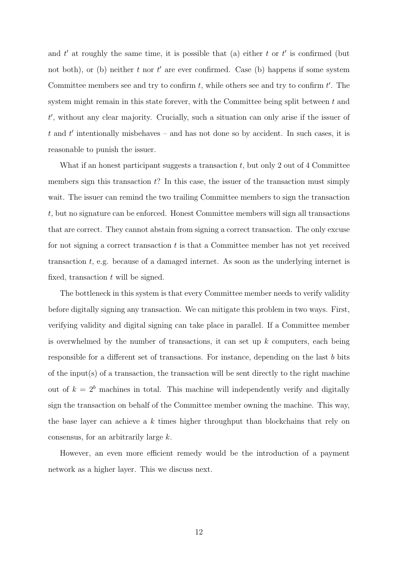and t' at roughly the same time, it is possible that (a) either t or t' is confirmed (but not both), or (b) neither t nor t' are ever confirmed. Case (b) happens if some system Committee members see and try to confirm  $t$ , while others see and try to confirm  $t'$ . The system might remain in this state forever, with the Committee being split between  $t$  and  $t'$ , without any clear majority. Crucially, such a situation can only arise if the issuer of  $t$  and  $t'$  intentionally misbehaves – and has not done so by accident. In such cases, it is reasonable to punish the issuer.

What if an honest participant suggests a transaction  $t$ , but only 2 out of 4 Committee members sign this transaction  $t$ ? In this case, the issuer of the transaction must simply wait. The issuer can remind the two trailing Committee members to sign the transaction t, but no signature can be enforced. Honest Committee members will sign all transactions that are correct. They cannot abstain from signing a correct transaction. The only excuse for not signing a correct transaction  $t$  is that a Committee member has not yet received transaction t, e.g. because of a damaged internet. As soon as the underlying internet is fixed, transaction  $t$  will be signed.

The bottleneck in this system is that every Committee member needs to verify validity before digitally signing any transaction. We can mitigate this problem in two ways. First, verifying validity and digital signing can take place in parallel. If a Committee member is overwhelmed by the number of transactions, it can set up  $k$  computers, each being responsible for a different set of transactions. For instance, depending on the last b bits of the input(s) of a transaction, the transaction will be sent directly to the right machine out of  $k = 2<sup>b</sup>$  machines in total. This machine will independently verify and digitally sign the transaction on behalf of the Committee member owning the machine. This way, the base layer can achieve a  $k$  times higher throughput than blockchains that rely on consensus, for an arbitrarily large k.

However, an even more efficient remedy would be the introduction of a payment network as a higher layer. This we discuss next.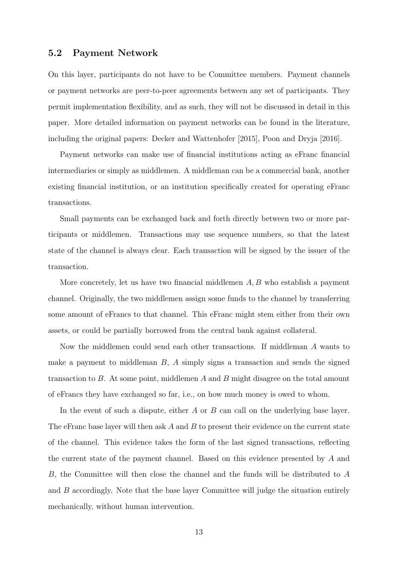#### 5.2 Payment Network

On this layer, participants do not have to be Committee members. Payment channels or payment networks are peer-to-peer agreements between any set of participants. They permit implementation flexibility, and as such, they will not be discussed in detail in this paper. More detailed information on payment networks can be found in the literature, including the original papers: Decker and Wattenhofer [2015], Poon and Dryja [2016].

Payment networks can make use of financial institutions acting as eFranc financial intermediaries or simply as middlemen. A middleman can be a commercial bank, another existing financial institution, or an institution specifically created for operating eFranc transactions.

Small payments can be exchanged back and forth directly between two or more participants or middlemen. Transactions may use sequence numbers, so that the latest state of the channel is always clear. Each transaction will be signed by the issuer of the transaction.

More concretely, let us have two financial middlemen  $A, B$  who establish a payment channel. Originally, the two middlemen assign some funds to the channel by transferring some amount of eFrancs to that channel. This eFranc might stem either from their own assets, or could be partially borrowed from the central bank against collateral.

Now the middlemen could send each other transactions. If middleman A wants to make a payment to middleman  $B$ ,  $\tilde{A}$  simply signs a transaction and sends the signed transaction to B. At some point, middlemen A and B might disagree on the total amount of eFrancs they have exchanged so far, i.e., on how much money is owed to whom.

In the event of such a dispute, either  $A$  or  $B$  can call on the underlying base layer. The eFranc base layer will then ask  $A$  and  $B$  to present their evidence on the current state of the channel. This evidence takes the form of the last signed transactions, reflecting the current state of the payment channel. Based on this evidence presented by A and B, the Committee will then close the channel and the funds will be distributed to A and  $B$  accordingly. Note that the base layer Committee will judge the situation entirely mechanically, without human intervention.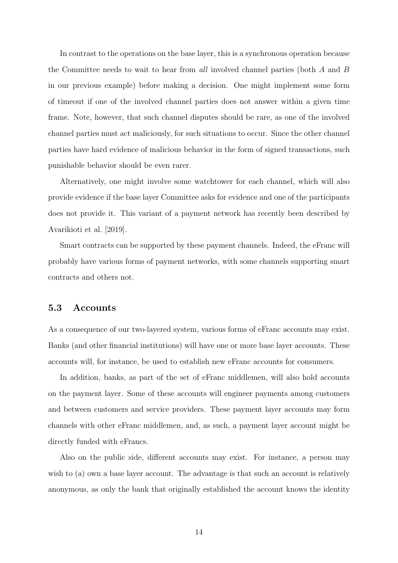In contrast to the operations on the base layer, this is a synchronous operation because the Committee needs to wait to hear from all involved channel parties (both A and B in our previous example) before making a decision. One might implement some form of timeout if one of the involved channel parties does not answer within a given time frame. Note, however, that such channel disputes should be rare, as one of the involved channel parties must act maliciously, for such situations to occur. Since the other channel parties have hard evidence of malicious behavior in the form of signed transactions, such punishable behavior should be even rarer.

Alternatively, one might involve some watchtower for each channel, which will also provide evidence if the base layer Committee asks for evidence and one of the participants does not provide it. This variant of a payment network has recently been described by Avarikioti et al. [2019].

Smart contracts can be supported by these payment channels. Indeed, the eFranc will probably have various forms of payment networks, with some channels supporting smart contracts and others not.

#### 5.3 Accounts

As a consequence of our two-layered system, various forms of eFranc accounts may exist. Banks (and other financial institutions) will have one or more base layer accounts. These accounts will, for instance, be used to establish new eFranc accounts for consumers.

In addition, banks, as part of the set of eFranc middlemen, will also hold accounts on the payment layer. Some of these accounts will engineer payments among customers and between customers and service providers. These payment layer accounts may form channels with other eFranc middlemen, and, as such, a payment layer account might be directly funded with eFrancs.

Also on the public side, different accounts may exist. For instance, a person may wish to (a) own a base layer account. The advantage is that such an account is relatively anonymous, as only the bank that originally established the account knows the identity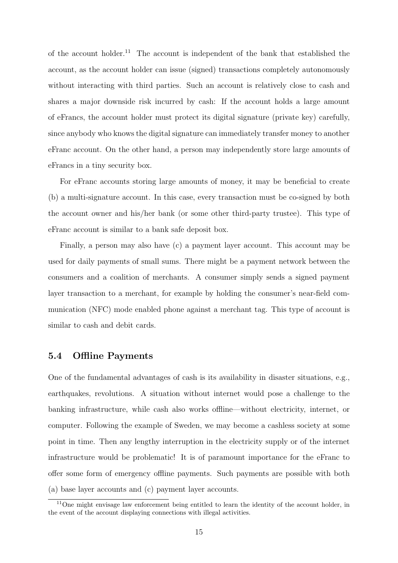of the account holder.<sup>11</sup> The account is independent of the bank that established the account, as the account holder can issue (signed) transactions completely autonomously without interacting with third parties. Such an account is relatively close to cash and shares a major downside risk incurred by cash: If the account holds a large amount of eFrancs, the account holder must protect its digital signature (private key) carefully, since anybody who knows the digital signature can immediately transfer money to another eFranc account. On the other hand, a person may independently store large amounts of eFrancs in a tiny security box.

For eFranc accounts storing large amounts of money, it may be beneficial to create (b) a multi-signature account. In this case, every transaction must be co-signed by both the account owner and his/her bank (or some other third-party trustee). This type of eFranc account is similar to a bank safe deposit box.

Finally, a person may also have (c) a payment layer account. This account may be used for daily payments of small sums. There might be a payment network between the consumers and a coalition of merchants. A consumer simply sends a signed payment layer transaction to a merchant, for example by holding the consumer's near-field communication (NFC) mode enabled phone against a merchant tag. This type of account is similar to cash and debit cards.

#### 5.4 Offline Payments

One of the fundamental advantages of cash is its availability in disaster situations, e.g., earthquakes, revolutions. A situation without internet would pose a challenge to the banking infrastructure, while cash also works offline—without electricity, internet, or computer. Following the example of Sweden, we may become a cashless society at some point in time. Then any lengthy interruption in the electricity supply or of the internet infrastructure would be problematic! It is of paramount importance for the eFranc to offer some form of emergency offline payments. Such payments are possible with both (a) base layer accounts and (c) payment layer accounts.

<sup>&</sup>lt;sup>11</sup>One might envisage law enforcement being entitled to learn the identity of the account holder, in the event of the account displaying connections with illegal activities.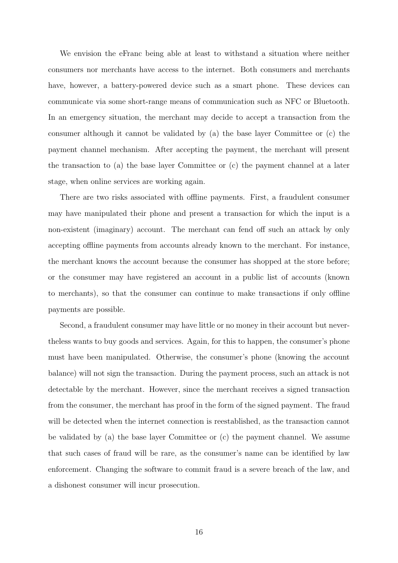We envision the eFranc being able at least to withstand a situation where neither consumers nor merchants have access to the internet. Both consumers and merchants have, however, a battery-powered device such as a smart phone. These devices can communicate via some short-range means of communication such as NFC or Bluetooth. In an emergency situation, the merchant may decide to accept a transaction from the consumer although it cannot be validated by (a) the base layer Committee or (c) the payment channel mechanism. After accepting the payment, the merchant will present the transaction to (a) the base layer Committee or (c) the payment channel at a later stage, when online services are working again.

There are two risks associated with offline payments. First, a fraudulent consumer may have manipulated their phone and present a transaction for which the input is a non-existent (imaginary) account. The merchant can fend off such an attack by only accepting offline payments from accounts already known to the merchant. For instance, the merchant knows the account because the consumer has shopped at the store before; or the consumer may have registered an account in a public list of accounts (known to merchants), so that the consumer can continue to make transactions if only offline payments are possible.

Second, a fraudulent consumer may have little or no money in their account but nevertheless wants to buy goods and services. Again, for this to happen, the consumer's phone must have been manipulated. Otherwise, the consumer's phone (knowing the account balance) will not sign the transaction. During the payment process, such an attack is not detectable by the merchant. However, since the merchant receives a signed transaction from the consumer, the merchant has proof in the form of the signed payment. The fraud will be detected when the internet connection is reestablished, as the transaction cannot be validated by (a) the base layer Committee or  $(c)$  the payment channel. We assume that such cases of fraud will be rare, as the consumer's name can be identified by law enforcement. Changing the software to commit fraud is a severe breach of the law, and a dishonest consumer will incur prosecution.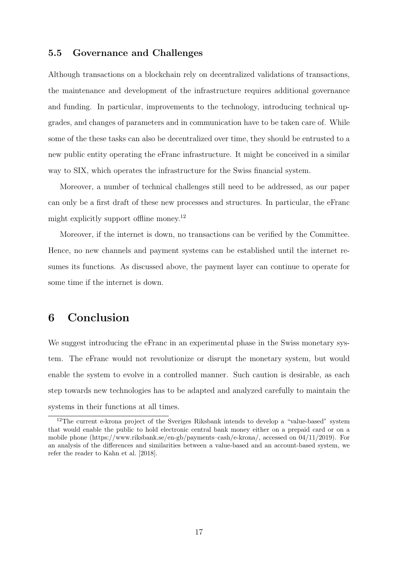#### 5.5 Governance and Challenges

Although transactions on a blockchain rely on decentralized validations of transactions, the maintenance and development of the infrastructure requires additional governance and funding. In particular, improvements to the technology, introducing technical upgrades, and changes of parameters and in communication have to be taken care of. While some of the these tasks can also be decentralized over time, they should be entrusted to a new public entity operating the eFranc infrastructure. It might be conceived in a similar way to SIX, which operates the infrastructure for the Swiss financial system.

Moreover, a number of technical challenges still need to be addressed, as our paper can only be a first draft of these new processes and structures. In particular, the eFranc might explicitly support offline money.<sup>12</sup>

Moreover, if the internet is down, no transactions can be verified by the Committee. Hence, no new channels and payment systems can be established until the internet resumes its functions. As discussed above, the payment layer can continue to operate for some time if the internet is down.

### 6 Conclusion

We suggest introducing the eFranc in an experimental phase in the Swiss monetary system. The eFranc would not revolutionize or disrupt the monetary system, but would enable the system to evolve in a controlled manner. Such caution is desirable, as each step towards new technologies has to be adapted and analyzed carefully to maintain the systems in their functions at all times.

<sup>&</sup>lt;sup>12</sup>The current e-krona project of the Sveriges Riksbank intends to develop a "value-based" system that would enable the public to hold electronic central bank money either on a prepaid card or on a mobile phone (https://www.riksbank.se/en-gb/payments–cash/e-krona/, accessed on 04/11/2019). For an analysis of the differences and similarities between a value-based and an account-based system, we refer the reader to Kahn et al. [2018].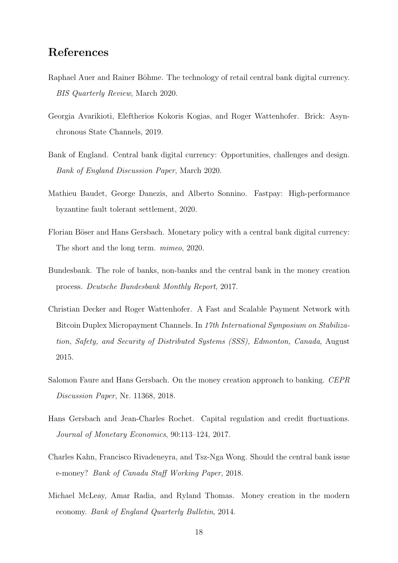## References

- Raphael Auer and Rainer Böhme. The technology of retail central bank digital currency. BIS Quarterly Review, March 2020.
- Georgia Avarikioti, Eleftherios Kokoris Kogias, and Roger Wattenhofer. Brick: Asynchronous State Channels, 2019.
- Bank of England. Central bank digital currency: Opportunities, challenges and design. Bank of England Discussion Paper, March 2020.
- Mathieu Baudet, George Danezis, and Alberto Sonnino. Fastpay: High-performance byzantine fault tolerant settlement, 2020.
- Florian Böser and Hans Gersbach. Monetary policy with a central bank digital currency: The short and the long term. mimeo, 2020.
- Bundesbank. The role of banks, non-banks and the central bank in the money creation process. Deutsche Bundesbank Monthly Report, 2017.
- Christian Decker and Roger Wattenhofer. A Fast and Scalable Payment Network with Bitcoin Duplex Micropayment Channels. In 17th International Symposium on Stabilization, Safety, and Security of Distributed Systems (SSS), Edmonton, Canada, August 2015.
- Salomon Faure and Hans Gersbach. On the money creation approach to banking. CEPR Discussion Paper, Nr. 11368, 2018.
- Hans Gersbach and Jean-Charles Rochet. Capital regulation and credit fluctuations. Journal of Monetary Economics, 90:113–124, 2017.
- Charles Kahn, Francisco Rivadeneyra, and Tsz-Nga Wong. Should the central bank issue e-money? Bank of Canada Staff Working Paper, 2018.
- Michael McLeay, Amar Radia, and Ryland Thomas. Money creation in the modern economy. Bank of England Quarterly Bulletin, 2014.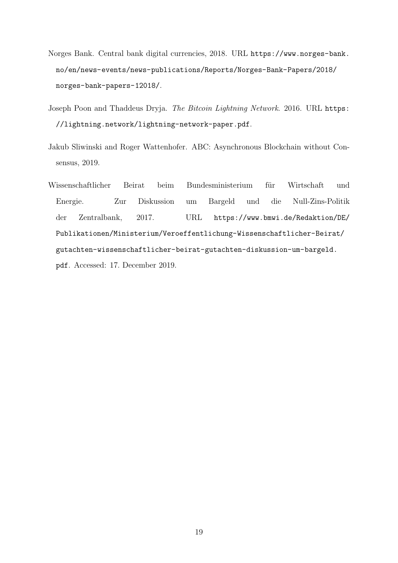- Norges Bank. Central bank digital currencies, 2018. URL https://www.norges-bank. no/en/news-events/news-publications/Reports/Norges-Bank-Papers/2018/ norges-bank-papers-12018/.
- Joseph Poon and Thaddeus Dryja. The Bitcoin Lightning Network. 2016. URL https: //lightning.network/lightning-network-paper.pdf.
- Jakub Sliwinski and Roger Wattenhofer. ABC: Asynchronous Blockchain without Consensus, 2019.
- Wissenschaftlicher Beirat beim Bundesministerium für Wirtschaft und Energie. Zur Diskussion um Bargeld und die Null-Zins-Politik der Zentralbank, 2017. URL https://www.bmwi.de/Redaktion/DE/ Publikationen/Ministerium/Veroeffentlichung-Wissenschaftlicher-Beirat/ gutachten-wissenschaftlicher-beirat-gutachten-diskussion-um-bargeld. pdf. Accessed: 17. December 2019.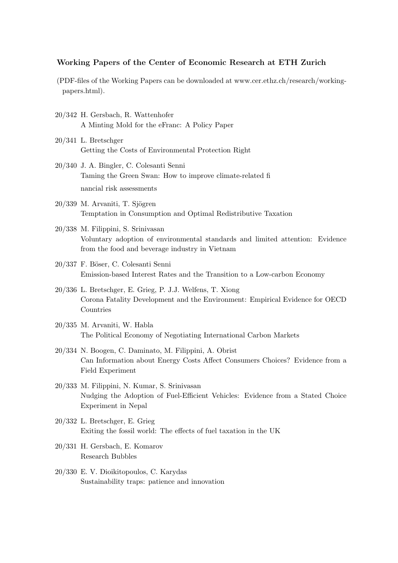#### Working Papers of the Center of Economic Research at ETH Zurich

- (PDF-files of the Working Papers can be downloaded at www.cer.ethz.ch/research/workingpapers.html).
- 20/342 H. Gersbach, R. Wattenhofer A Minting Mold for the eFranc: A Policy Paper
- 20/341 L. Bretschger Getting the Costs of Environmental Protection Right
- 20/340 J. A. Bingler, C. Colesanti Senni Taming the Green Swan: How to improve climate-related fi nancial risk assessments
- $20/339$  M. Arvaniti, T. Sjögren Temptation in Consumption and Optimal Redistributive Taxation
- 20/338 M. Filippini, S. Srinivasan Voluntary adoption of environmental standards and limited attention: Evidence from the food and beverage industry in Vietnam
- 20/337 F. Böser, C. Colesanti Senni Emission-based Interest Rates and the Transition to a Low-carbon Economy
- 20/336 L. Bretschger, E. Grieg, P. J.J. Welfens, T. Xiong Corona Fatality Development and the Environment: Empirical Evidence for OECD Countries
- 20/335 M. Arvaniti, W. Habla The Political Economy of Negotiating International Carbon Markets
- 20/334 N. Boogen, C. Daminato, M. Filippini, A. Obrist Can Information about Energy Costs Affect Consumers Choices? Evidence from a Field Experiment
- 20/333 M. Filippini, N. Kumar, S. Srinivasan Nudging the Adoption of Fuel-Efficient Vehicles: Evidence from a Stated Choice Experiment in Nepal
- 20/332 L. Bretschger, E. Grieg Exiting the fossil world: The effects of fuel taxation in the UK
- 20/331 H. Gersbach, E. Komarov Research Bubbles
- 20/330 E. V. Dioikitopoulos, C. Karydas Sustainability traps: patience and innovation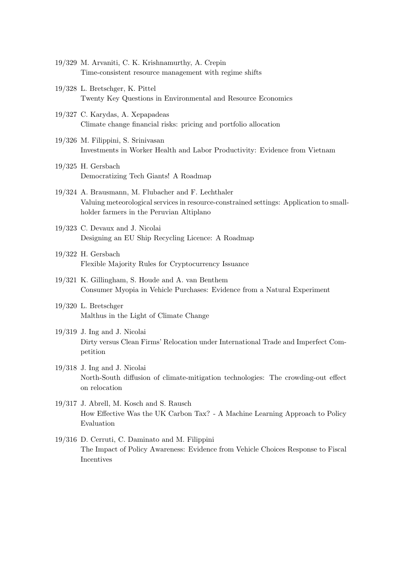- 19/329 M. Arvaniti, C. K. Krishnamurthy, A. Crepin Time-consistent resource management with regime shifts
- 19/328 L. Bretschger, K. Pittel Twenty Key Questions in Environmental and Resource Economics
- 19/327 C. Karydas, A. Xepapadeas Climate change financial risks: pricing and portfolio allocation
- 19/326 M. Filippini, S. Srinivasan Investments in Worker Health and Labor Productivity: Evidence from Vietnam
- 19/325 H. Gersbach Democratizing Tech Giants! A Roadmap
- 19/324 A. Brausmann, M. Flubacher and F. Lechthaler Valuing meteorological services in resource-constrained settings: Application to smallholder farmers in the Peruvian Altiplano
- 19/323 C. Devaux and J. Nicolai Designing an EU Ship Recycling Licence: A Roadmap
- 19/322 H. Gersbach Flexible Majority Rules for Cryptocurrency Issuance
- 19/321 K. Gillingham, S. Houde and A. van Benthem Consumer Myopia in Vehicle Purchases: Evidence from a Natural Experiment
- 19/320 L. Bretschger Malthus in the Light of Climate Change
- 19/319 J. Ing and J. Nicolai Dirty versus Clean Firms' Relocation under International Trade and Imperfect Competition
- 19/318 J. Ing and J. Nicolai North-South diffusion of climate-mitigation technologies: The crowding-out effect on relocation
- 19/317 J. Abrell, M. Kosch and S. Rausch How Effective Was the UK Carbon Tax? - A Machine Learning Approach to Policy Evaluation
- 19/316 D. Cerruti, C. Daminato and M. Filippini The Impact of Policy Awareness: Evidence from Vehicle Choices Response to Fiscal Incentives